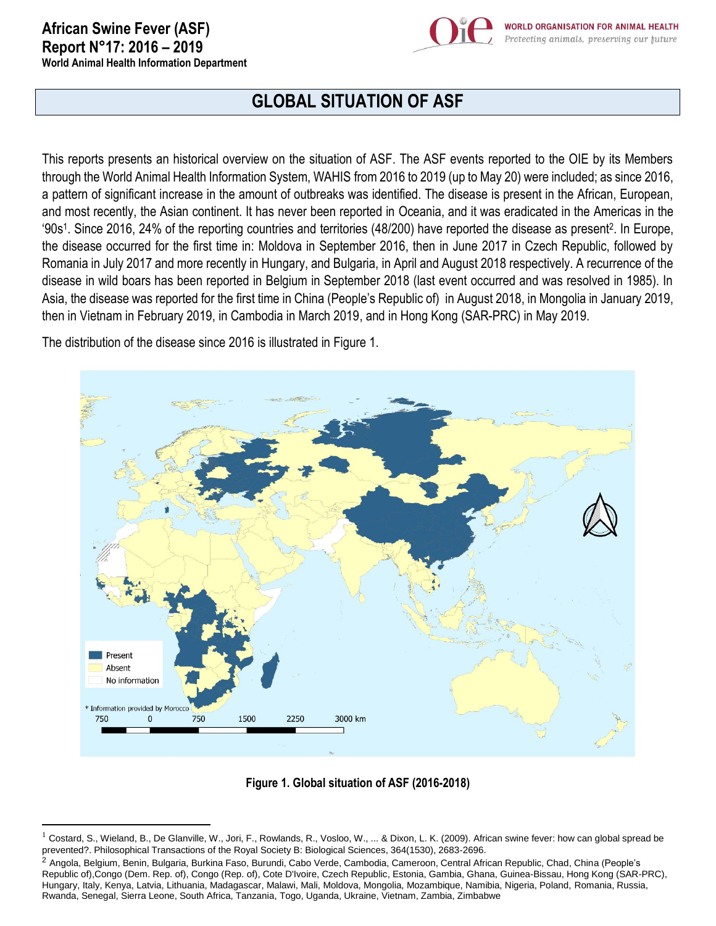$\overline{\phantom{a}}$ 



## **GLOBAL SITUATION OF ASF**

This reports presents an historical overview on the situation of ASF. The ASF events reported to the OIE by its Members through the World Animal Health Information System, WAHIS from 2016 to 2019 (up to May 20) were included; as since 2016, a pattern of significant increase in the amount of outbreaks was identified. The disease is present in the African, European, and most recently, the Asian continent. It has never been reported in Oceania, and it was eradicated in the Americas in the '90s<sup>1</sup> . Since 2016, 24% of the reporting countries and territories (48/200) have reported the disease as present<sup>2</sup> . In Europe, the disease occurred for the first time in: Moldova in September 2016, then in June 2017 in Czech Republic, followed by Romania in July 2017 and more recently in Hungary, and Bulgaria, in April and August 2018 respectively. A recurrence of the disease in wild boars has been reported in Belgium in September 2018 (last event occurred and was resolved in 1985). In Asia, the disease was reported for the first time in China (People's Republic of) in August 2018, in Mongolia in January 2019, then in Vietnam in February 2019, in Cambodia in March 2019, and in Hong Kong (SAR-PRC) in May 2019.

The distribution of the disease since 2016 is illustrated in Figure 1.



**Figure 1. Global situation of ASF (2016-2018)**

<sup>1</sup> Costard, S., Wieland, B., De Glanville, W., Jori, F., Rowlands, R., Vosloo, W., ... & Dixon, L. K. (2009). African swine fever: how can global spread be prevented?. Philosophical Transactions of the Royal Society B: Biological Sciences, 364(1530), 2683-2696.

<sup>&</sup>lt;sup>2</sup> Angola, Belgium, Benin, Bulgaria, Burkina Faso, Burundi, Cabo Verde, Cambodia, Cameroon, Central African Republic, Chad, China (People's Republic of),Congo (Dem. Rep. of), Congo (Rep. of), Cote D'Ivoire, Czech Republic, Estonia, Gambia, Ghana, Guinea-Bissau, Hong Kong (SAR-PRC), Hungary, Italy, Kenya, Latvia, Lithuania, Madagascar, Malawi, Mali, Moldova, Mongolia, Mozambique, Namibia, Nigeria, Poland, Romania, Russia, Rwanda, Senegal, Sierra Leone, South Africa, Tanzania, Togo, Uganda, Ukraine, Vietnam, Zambia, Zimbabwe